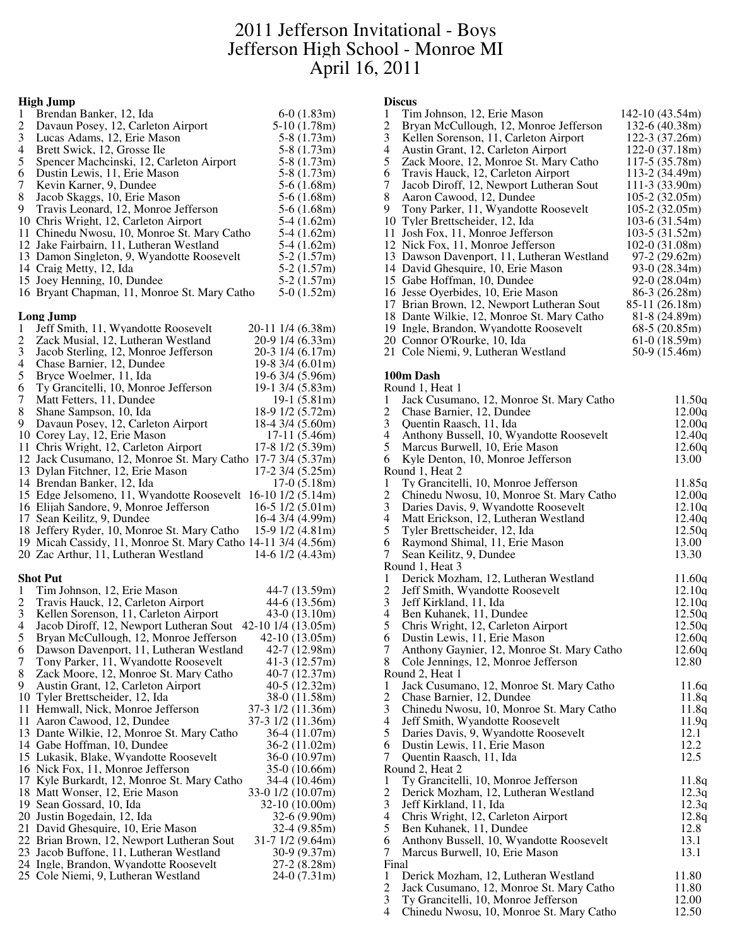# 2011 Jefferson Invitational - Boys Jefferson High School - Monroe MI April 16, 2011

### **High Jump**

| 1 | Brendan Banker, 12. Ida                      | $6-0(1.83m)$  |
|---|----------------------------------------------|---------------|
| 2 | Davaun Posey, 12, Carleton Airport           | $5-10(1.78m)$ |
| 3 | Lucas Adams, 12, Erie Mason                  | $5-8(1.73m)$  |
| 4 | Brett Swick, 12, Grosse Ile                  | $5-8(1.73m)$  |
| 5 | Spencer Machcinski, 12, Carleton Airport     | $5-8(1.73m)$  |
| 6 | Dustin Lewis, 11, Erie Mason                 | $5-8(1.73m)$  |
| 7 | Kevin Karner, 9, Dundee                      | $5-6(1.68m)$  |
| 8 | Jacob Skaggs, 10, Erie Mason                 | $5-6(1.68m)$  |
| 9 | Travis Leonard, 12, Monroe Jefferson         | $5-6(1.68m)$  |
|   | 10 Chris Wright, 12, Carleton Airport        | $5-4(1.62m)$  |
|   | 11 Chinedu Nwosu, 10, Monroe St. Mary Catho  | $5-4(1.62m)$  |
|   | 12 Jake Fairbairn, 11, Lutheran Westland     | $5-4(1.62m)$  |
|   | 13 Damon Singleton, 9, Wyandotte Roosevelt   | $5-2(1.57m)$  |
|   | 14 Craig Metty, 12, Ida                      | $5-2(1.57m)$  |
|   | 15 Joey Henning, 10, Dundee                  | $5-2(1.57m)$  |
|   | 16 Bryant Chapman, 11, Monroe St. Mary Catho | $5-0(1.52m)$  |

### **Long Jump**

| Jeff Smith, 11, Wyandotte Roosevelt<br>$\mathbf{1}$                           | 20-11 1/4 (6.38m)              |
|-------------------------------------------------------------------------------|--------------------------------|
| Zack Musial, 12, Lutheran Westland                                            | 20-9 1/4 (6.33m)               |
| $\frac{2}{3}$<br>Jacob Sterling, 12, Monroe Jefferson                         | 20-3 1/4 (6.17m)               |
| 4<br>Chase Barnier, 12, Dundee                                                | 19-8 3/4 (6.01m)               |
| 5<br>Bryce Woelmer, 11, Ida                                                   | 19-6 3/4 (5.96m)               |
| 6<br>Ty Grancitelli, 10, Monroe Jefferson                                     | 19-1 3/4 (5.83m)               |
| 7<br>Matt Fetters, 11, Dundee                                                 | $19-1(5.81m)$                  |
| 8<br>Shane Sampson, 10, Ida                                                   | 18-9 1/2 (5.72m)               |
| 9<br>Davaun Posey, 12, Carleton Airport                                       | 18-4 3/4 (5.60m)               |
| 10 Corey Lay, 12, Erie Mason                                                  | 17-11 (5.46m)                  |
| 11 Chris Wright, 12, Carleton Airport                                         | 17-8 1/2 (5.39m)               |
| 12 Jack Cusumano, 12, Monroe St. Mary Catho                                   | $17-7$ 3/4 (5.37m)             |
| 13 Dylan Fitchner, 12, Erie Mason                                             | 17-2 3/4 (5.25m)               |
|                                                                               |                                |
| 14 Brendan Banker, 12, Ida                                                    | $17-0(5.18m)$                  |
| 15 Edge Jelsomeno, 11, Wyandotte Roosevelt 16-10 1/2 (5.14m)                  |                                |
| 16 Elijah Sandore, 9, Monroe Jefferson                                        | $16-5$ $1/2$ $(5.01m)$         |
| 17 Sean Keilitz, 9, Dundee                                                    | 16-4 3/4 (4.99m)               |
| 18 Jeffery Ryder, 10, Monroe St. Mary Catho                                   | $15-9$ $1/2$ $(4.81m)$         |
| 19 Micah Cassidy, 11, Monroe St. Mary Catho 14-11 3/4 (4.56m)                 |                                |
| 20 Zac Arthur, 11, Lutheran Westland                                          | 14-6 1/2 (4.43m)               |
|                                                                               |                                |
| <b>Shot Put</b>                                                               |                                |
| Tim Johnson, 12, Erie Mason<br>1                                              | 44-7 (13.59m)                  |
|                                                                               |                                |
| $\overline{c}$<br>Travis Hauck, 12, Carleton Airport                          | 44-6 (13.56m)                  |
| 3<br>Kellen Sorenson, 11, Carleton Airport                                    | $43-0(13.10m)$                 |
| $\overline{4}$<br>Jacob Diroff, 12, Newport Lutheran Sout                     | 42-10 1/4 (13.05m)             |
| 5<br>Bryan McCullough, 12, Monroe Jefferson                                   | $42-10(13.05m)$                |
| 6<br>Dawson Davenport, 11, Lutheran Westland                                  | 42-7 (12.98m)                  |
| 7<br>Tony Parker, 11, Wyandotte Roosevelt                                     | 41-3 $(12.57m)$                |
| 8<br>Zack Moore, 12, Monroe St. Mary Catho                                    | 40-7 (12.37m)                  |
| 9<br>Austin Grant, 12, Carleton Airport                                       | 40-5 (12.32m)                  |
|                                                                               | 38-0 (11.58m)                  |
| 10 Tyler Brettscheider, 12, Ida                                               |                                |
| 11 Hemwall, Nick, Monroe Jefferson                                            | 37-3 1/2 (11.36m)              |
| 11 Aaron Cawood, 12, Dundee                                                   | 37-3 1/2 (11.36m)              |
| 13 Dante Wilkie, 12, Monroe St. Mary Catho                                    | 36-4 (11.07m)                  |
| 14 Gabe Hoffman, 10, Dundee                                                   | $36-2(11.02m)$                 |
| 15 Lukasik, Blake, Wyandotte Roosevelt                                        | 36-0 (10.97m)                  |
| 16 Nick Fox, 11, Monroe Jefferson                                             | 35-0 (10.66m)                  |
| 17 Kyle Burkardt, 12, Monroe St. Mary Catho                                   | 34-4 (10.46m)                  |
| 18 Matt Wonser, 12, Erie Mason                                                | 33-0 1/2 (10.07m)              |
| 19 Sean Gossard, 10, Ida                                                      | 32-10 (10.00m)                 |
| 20 Justin Bogedain, 12, Ida                                                   | 32-6 (9.90m)                   |
| 21 David Ghesquire, 10, Erie Mason                                            | $32-4(9.85m)$                  |
| 22 Brian Brown, 12, Newport Lutheran Sout                                     | $31-71/2(9.64m)$               |
| 23 Jacob Buffone, 11, Lutheran Westland                                       | 30-9 (9.37m)                   |
| 24 Ingle, Brandon, Wyandotte Roosevelt<br>25 Cole Niemi, 9, Lutheran Westland | $27-2(8.28m)$<br>$24-0(7.31m)$ |

# **Discus**

|    | <b>Discus</b>                              |                  |
|----|--------------------------------------------|------------------|
| 1  | Tim Johnson, 12, Erie Mason                | $142-10(43.54m)$ |
| 2  | Bryan McCullough, 12, Monroe Jefferson     | 132-6 (40.38m)   |
| 3  | Kellen Sorenson, 11, Carleton Airport      | 122-3 (37.26m)   |
| 4  | Austin Grant, 12, Carleton Airport         | $122-0(37.18m)$  |
| 5  | Zack Moore, 12, Monroe St. Mary Catho      | 117-5 (35.78m)   |
| 6  | Travis Hauck, 12, Carleton Airport         | 113-2 (34.49m)   |
| 7  | Jacob Diroff, 12, Newport Lutheran Sout    | $111-3(33.90m)$  |
| 8  | Aaron Cawood, 12, Dundee                   | $105-2(32.05m)$  |
| 9. | Tony Parker, 11, Wyandotte Roosevelt       | 105-2 (32.05m)   |
| 10 | Tyler Brettscheider, 12, Ida               | $103-6(31.54m)$  |
| 11 | Josh Fox, 11, Monroe Jefferson             | $103-5(31.52m)$  |
| 12 | Nick Fox, 11, Monroe Jefferson             | $102-0(31.08m)$  |
|    | 13 Dawson Davenport, 11, Lutheran Westland | $97-2(29.62m)$   |
|    | 14 David Ghesquire, 10, Erie Mason         | 93-0 (28.34m)    |
|    | 15 Gabe Hoffman, 10, Dundee                | 92-0 (28.04m)    |
|    | 16 Jesse Oyerbides, 10, Erie Mason         | 86-3 (26.28m)    |
|    | 17 Brian Brown, 12, Newport Lutheran Sout  | 85-11 (26.18m)   |
|    | 18 Dante Wilkie, 12, Monroe St. Mary Catho | 81-8 (24.89m)    |
|    | 19 Ingle, Brandon, Wyandotte Roosevelt     | $68-5(20.85m)$   |
|    | 20 Connor O'Rourke, 10, Ida                | $61-0(18.59m)$   |
|    | 21 Cole Niemi, 9, Lutheran Westland        | 50-9 (15.46m)    |
|    | 100m Dash                                  |                  |
|    | Round 1, Heat 1                            |                  |
| 1  | Jack Cusumano, 12, Monroe St. Mary Catho   | 11.50q           |
| 2  | Chase Barnier, 12, Dundee                  | 12.00q           |
| 3  | Quentin Raasch, 11, Ida                    | 12.00q           |
| 4  | Anthony Bussell, 10, Wyandotte Roosevelt   | 12.40q           |
| 5  | Marcus Burwell, 10, Erie Mason             | 12.60q           |
| 6  | Kyle Denton, 10, Monroe Jefferson          | 13.00            |
|    | Round 1, Heat 2                            |                  |
| 1  | Ty Grancitelli, 10, Monroe Jefferson       | 11.85q           |
| 2  | Chinedu Nwosu, 10, Monroe St. Mary Catho   | 12.00q           |
| 3  | Daries Davis, 9, Wyandotte Roosevelt       | 12.10q           |
| 4  | Matt Erickson, 12, Lutheran Westland       | 12.40q           |
| 5  | Tyler Brettscheider, 12, Ida               | 12.50q           |
| 6  | Raymond Shimal, 11, Erie Mason             | 13.00            |
| 7  | Sean Keilitz, 9, Dundee                    | 13.30            |
|    | Round 1, Heat 3                            |                  |
| 1  | Derick Mozham, 12, Lutheran Westland       | 11.60q           |
| 2  | Jeff Smith, Wyandotte Roosevelt            | 12.10q           |
| 3  | Jeff Kirkland, 11, Ida                     | 12.10q           |
| 4  | Ben Kuhanek, 11, Dundee                    | 12.50q           |
| 5  | Chris Wright, 12, Carleton Airport         | 12.50q           |
| 6  | Dustin Lewis, 11, Erie Mason               | 12.60q           |
| 7  | Anthony Gaynier, 12, Monroe St. Mary Catho | 12.60q           |
| 8  | Cole Jennings, 12, Monroe Jefferson        | 12.80            |
|    | Round 2, Heat 1                            |                  |
| 1  | Jack Cusumano, 12, Monroe St. Mary Catho   | 11.6q            |
| 2  | Chase Barnier, 12, Dundee                  | 11.8q            |
| 3  | Chinedu Nwosu, 10, Monroe St. Mary Catho   | 11.8g            |
| 4  | Jeff Smith, Wyandotte Roosevelt            | 11.9q            |

- 
- 6 Dustin Lewis, 11, Erie Mason<br>7 Ouentin Raasch 11 Ida
- 5 Daries Davis, 9, Wyandotte Roosevelt 12.1<br>6 Dustin Lewis, 11, Erie Mason 12.2<br>7 Ouentin Raasch, 11, Ida 12.5 Quentin Raasch, 11, Ida Round 2, Heat 2 1 Ty Grancitelli, 10, Monroe Jefferson 11.8q<br>2 Derick Mozham, 12, Lutheran Westland 12.3q 2 Derick Mozham, 12, Lutheran Westland 12.3q<br>3 Jeff Kirkland, 11, Ida 12.3q 3 Jeff Kirkland, 11, Ida 4 Chris Wright, 12, Carleton Airport 12.8q<br>5 Ben Kuhanek, 11, Dundee 12.8 5 Ben Kuhanek, 11, Dundee 12.8<br>6 Anthony Bussell, 10, Wyandotte Roosevelt 13.1 6 Anthony Bussell, 10, Wyandotte Roosevelt 13.1<br>7 Marcus Burwell, 10, Erie Mason 13.1 Marcus Burwell, 10, Erie Mason Final
- 1 Derick Mozham, 12, Lutheran Westland 11.80<br>2 Jack Cusumano, 12, Monroe St. Mary Catho 11.80
- 2 Jack Cusumano, 12, Monroe St. Mary Catho 11.80<br>3 Ty Grancitelli, 10, Monroe Jefferson 12.00 Ty Grancitelli, 10, Monroe Jefferson 12.00<br>Chinedu Nwosu, 10, Monroe St. Mary Catho 12.50
- 4 Chinedu Nwosu, 10, Monroe St. Mary Catho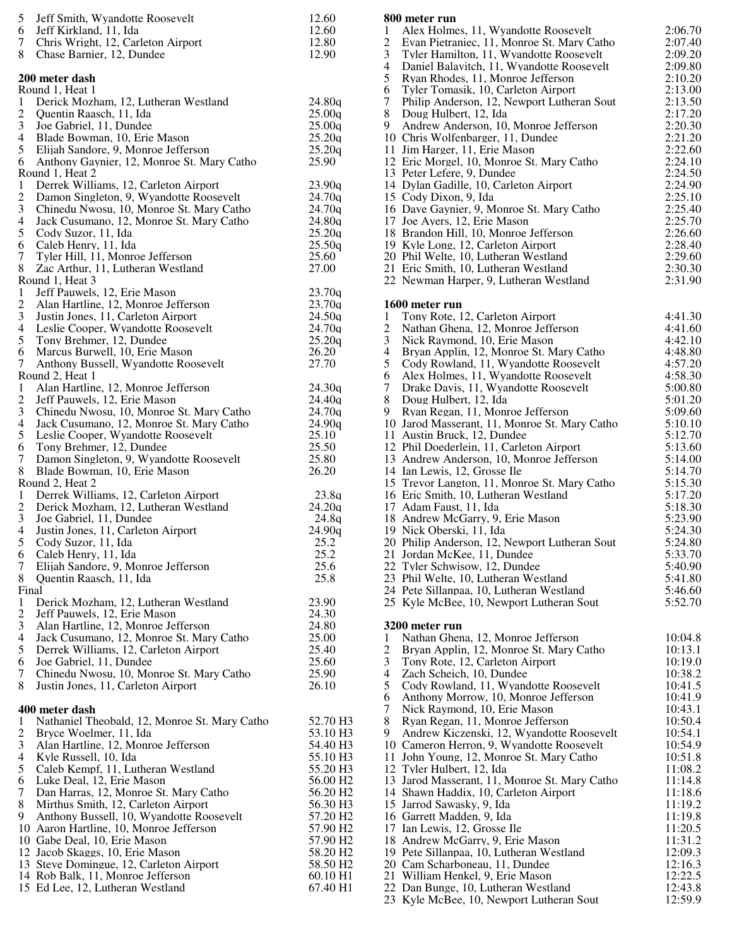| 5<br>Jeff Smith, Wyandotte Roosevelt<br>6<br>Jeff Kirkland, 11, Ida<br>7<br>Chris Wright, 12, Carleton Airport<br>Chase Barnier, 12, Dundee<br>8 | 12.60<br>12.60<br>12.80<br>12.90 |
|--------------------------------------------------------------------------------------------------------------------------------------------------|----------------------------------|
| 200 meter dash                                                                                                                                   |                                  |
| Round 1, Heat 1                                                                                                                                  |                                  |
| Derick Mozham, 12, Lutheran Westland<br>1<br>$\overline{\mathbf{c}}$<br>Quentin Raasch, 11, Ida                                                  | 24.80q<br>25.00q                 |
| 3<br>Joe Gabriel, 11, Dundee                                                                                                                     | 25.00q                           |
| $\overline{4}$<br>Blade Bowman, 10, Erie Mason                                                                                                   | 25.20q                           |
| 5<br>Elijah Sandore, 9, Monroe Jefferson                                                                                                         | 25.20q                           |
| 6<br>Anthony Gaynier, 12, Monroe St. Mary Catho                                                                                                  | 25.90                            |
| Round 1, Heat 2<br>Derrek Williams, 12, Carleton Airport<br>1                                                                                    | 23.90q                           |
| $\overline{c}$<br>Damon Singleton, 9, Wyandotte Roosevelt                                                                                        | 24.70q                           |
| 3<br>Chinedu Nwosu, 10, Monroe St. Mary Catho                                                                                                    | 24.70q                           |
| $\overline{4}$<br>Jack Cusumano, 12, Monroe St. Mary Catho                                                                                       | 24.80q                           |
| 5<br>Cody Suzor, 11, Ida                                                                                                                         | 25.20q                           |
| 6<br>Caleb Henry, 11, Ida<br>$\tau$<br>Tyler Hill, 11, Monroe Jefferson                                                                          | 25.50q<br>25.60                  |
| 8<br>Zac Arthur, 11, Lutheran Westland                                                                                                           | 27.00                            |
| Round 1, Heat 3                                                                                                                                  |                                  |
| Jeff Pauwels, 12, Erie Mason<br>1                                                                                                                | 23.70q                           |
| $\overline{c}$<br>Alan Hartline, 12, Monroe Jefferson                                                                                            | 23.70q                           |
| 3<br>Justin Jones, 11, Carleton Airport                                                                                                          | 24.50q                           |
| $\overline{4}$<br>Leslie Cooper, Wyandotte Roosevelt                                                                                             | 24.70q<br>25.20q                 |
| 5<br>Tony Brehmer, 12, Dundee<br>6<br>Marcus Burwell, 10, Erie Mason                                                                             | 26.20                            |
| 7<br>Anthony Bussell, Wyandotte Roosevelt                                                                                                        | 27.70                            |
| Round 2, Heat 1                                                                                                                                  |                                  |
| Alan Hartline, 12, Monroe Jefferson<br>1                                                                                                         | 24.30q                           |
| $\overline{c}$<br>Jeff Pauwels, 12, Erie Mason                                                                                                   | 24.40q                           |
| 3<br>Chinedu Nwosu, 10, Monroe St. Mary Catho<br>$\overline{\mathcal{L}}$                                                                        | 24.70q<br>24.90q                 |
| Jack Cusumano, 12, Monroe St. Mary Catho<br>5<br>Leslie Cooper, Wyandotte Roosevelt                                                              | 25.10                            |
| 6<br>Tony Brehmer, 12, Dundee                                                                                                                    | 25.50                            |
| 7<br>Damon Singleton, 9, Wyandotte Roosevelt                                                                                                     | 25.80                            |
| 8<br>Blade Bowman, 10, Erie Mason                                                                                                                | 26.20                            |
| Round 2, Heat 2<br>$\mathbf{1}$<br>Derrek Williams, 12, Carleton Airport                                                                         | 23.8q                            |
| $\overline{c}$<br>Derick Mozham, 12, Lutheran Westland                                                                                           | 24.20q                           |
| 3<br>Joe Gabriel, 11, Dundee                                                                                                                     | 24.8g                            |
| $\overline{4}$<br>Justin Jones, 11, Carleton Airport                                                                                             | 24.90q                           |
| 5<br>Cody Suzor, 11, Ida                                                                                                                         | 25.2                             |
| 6<br>Caleb Henry, 11, Ida<br>7                                                                                                                   | 25.2<br>25.6                     |
| Elijah Sandore, 9, Monroe Jefferson<br>8<br>Quentin Raasch, 11, Ida                                                                              | 25.8                             |
| Final                                                                                                                                            |                                  |
| $\mathbf{1}$<br>Derick Mozham, 12, Lutheran Westland                                                                                             | 23.90                            |
| $\overline{c}$<br>Jeff Pauwels, 12, Erie Mason                                                                                                   | 24.30                            |
| 3<br>Alan Hartline, 12, Monroe Jefferson                                                                                                         | 24.80                            |
| 4<br>Jack Cusumano, 12, Monroe St. Mary Catho<br>$\mathfrak s$                                                                                   | 25.00<br>25.40                   |
| Derrek Williams, 12, Carleton Airport<br>6<br>Joe Gabriel, 11, Dundee                                                                            | 25.60                            |
| 7<br>Chinedu Nwosu, 10, Monroe St. Mary Catho                                                                                                    | 25.90                            |
| 8<br>Justin Jones, 11, Carleton Airport                                                                                                          | 26.10                            |
|                                                                                                                                                  |                                  |
| 400 meter dash<br>Nathaniel Theobald, 12, Monroe St. Mary Catho<br>1                                                                             | 52.70 H <sub>3</sub>             |
| $\overline{c}$<br>Bryce Woelmer, 11, Ida                                                                                                         | 53.10 H3                         |
| $\mathfrak{Z}$<br>Alan Hartline, 12, Monroe Jefferson                                                                                            | 54.40 H3                         |
| 4<br>Kyle Russell, 10, Ida                                                                                                                       | 55.10 H <sub>3</sub>             |
| 5<br>Caleb Kempf, 11, Lutheran Westland                                                                                                          | 55.20 H3                         |
| Luke Deal, 12, Erie Mason<br>6<br>$\tau$<br>Dan Harras, 12, Monroe St. Mary Catho                                                                | 56.00 H2<br>56.20 H <sub>2</sub> |
| 8<br>Mirthus Smith, 12, Carleton Airport                                                                                                         | 56.30 H <sub>3</sub>             |
| Anthony Bussell, 10, Wyandotte Roosevelt<br>9                                                                                                    | 57.20 H <sub>2</sub>             |
| 10 Aaron Hartline, 10, Monroe Jefferson                                                                                                          | 57.90 H <sub>2</sub>             |
| 10 Gabe Deal, 10, Erie Mason                                                                                                                     | 57.90 H <sub>2</sub>             |
| 12 Jacob Skaggs, 10, Erie Mason                                                                                                                  | 58.20 H2                         |
| 13 Steve Domingue, 12, Carleton Airport<br>14 Rob Balk, 11, Monroe Jefferson                                                                     | 58.50 H <sub>2</sub><br>60.10 H1 |
| 15 Ed Lee, 12, Lutheran Westland                                                                                                                 | 67.40 H1                         |
|                                                                                                                                                  |                                  |

|                     | 800 meter run                                                                        |                    |
|---------------------|--------------------------------------------------------------------------------------|--------------------|
| 1                   | Alex Holmes, 11, Wyandotte Roosevelt                                                 | 2:06.70            |
| $\overline{c}$      | Evan Pietraniec, 11, Monroe St. Mary Catho                                           | 2:07.40            |
| 3<br>4              | Tyler Hamilton, 11, Wyandotte Roosevelt<br>Daniel Balavitch, 11, Wyandotte Roosevelt | 2:09.20<br>2:09.80 |
| 5                   | Ryan Rhodes, 11, Monroe Jefferson                                                    | 2:10.20            |
| 6                   | Tyler Tomasik, 10, Carleton Airport                                                  | 2:13.00            |
| 7                   | Philip Anderson, 12, Newport Lutheran Sout                                           | 2:13.50            |
| 8                   | Doug Hulbert, 12, Ida                                                                | 2:17.20            |
| 9                   | Andrew Anderson, 10, Monroe Jefferson                                                | 2:20.30            |
|                     | 10 Chris Wolfenbarger, 11, Dundee<br>11 Jim Harger, 11, Erie Mason                   | 2:21.20<br>2:22.60 |
|                     | 12 Eric Morgel, 10, Monroe St. Mary Catho                                            | 2:24.10            |
|                     | 13 Peter Lefere, 9, Dundee                                                           | 2:24.50            |
|                     | 14 Dylan Gadille, 10, Carleton Airport                                               | 2:24.90            |
|                     | 15 Cody Dixon, 9, Ida                                                                | 2:25.10            |
|                     | 16 Dave Gaynier, 9, Monroe St. Mary Catho                                            | 2:25.40            |
|                     | 17 Joe Ayers, 12, Erie Mason                                                         | 2:25.70<br>2:26.60 |
|                     | 18 Brandon Hill, 10, Monroe Jefferson<br>19 Kyle Long, 12, Carleton Airport          | 2:28.40            |
|                     | 20 Phil Welte, 10, Lutheran Westland                                                 | 2:29.60            |
|                     | 21 Eric Smith, 10, Lutheran Westland                                                 | 2:30.30            |
|                     | 22 Newman Harper, 9, Lutheran Westland                                               | 2:31.90            |
|                     |                                                                                      |                    |
| 1                   | 1600 meter run<br>Tony Rote, 12, Carleton Airport                                    | 4:41.30            |
| 2                   | Nathan Ghena, 12, Monroe Jefferson                                                   | 4:41.60            |
| 3                   | Nick Raymond, 10, Erie Mason                                                         | 4:42.10            |
| 4                   | Bryan Applin, 12, Monroe St. Mary Catho                                              | 4:48.80            |
| 5                   | Cody Rowland, 11, Wyandotte Roosevelt                                                | 4:57.20            |
| 6                   | Alex Holmes, 11, Wyandotte Roosevelt                                                 | 4:58.30            |
| 7<br>8              | Drake Davis, 11, Wyandotte Roosevelt                                                 | 5:00.80            |
| 9                   | Doug Hulbert, 12, Ida<br>Ryan Regan, 11, Monroe Jefferson                            | 5:01.20<br>5:09.60 |
|                     | 10 Jarod Masserant, 11, Monroe St. Mary Catho                                        | 5:10.10            |
|                     | 11 Austin Bruck, 12, Dundee                                                          | 5:12.70            |
|                     | 12 Phil Doederlein, 11, Carleton Airport                                             | 5:13.60            |
|                     | 13 Andrew Anderson, 10, Monroe Jefferson                                             | 5:14.00            |
|                     | 14 Ian Lewis, 12, Grosse Ile                                                         | 5:14.70            |
|                     | 15 Trevor Langton, 11, Monroe St. Mary Catho                                         | 5:15.30<br>5:17.20 |
|                     | 16 Eric Smith, 10, Lutheran Westland<br>17 Adam Faust, 11, Ida                       | 5:18.30            |
|                     | 18 Andrew McGarry, 9, Erie Mason                                                     | 5:23.90            |
|                     | 19 Nick Oberski, 11, Ida                                                             | 5:24.30            |
|                     | 20 Philip Anderson, 12, Newport Lutheran Sout                                        | 5:24.80            |
|                     | 21 Jordan McKee, 11, Dundee                                                          | 5:33.70            |
|                     | 22 Tyler Schwisow, 12, Dundee<br>23 Phil Welte, 10, Lutheran Westland                | 5:40.90<br>5:41.80 |
|                     | 24 Pete Sillanpaa, 10, Lutheran Westland                                             | 5:46.60            |
|                     | 25 Kyle McBee, 10, Newport Lutheran Sout                                             | 5:52.70            |
|                     |                                                                                      |                    |
|                     | 3200 meter run                                                                       |                    |
| 1<br>$\overline{c}$ | Nathan Ghena, 12, Monroe Jefferson<br>Bryan Applin, 12, Monroe St. Mary Catho        | 10:04.8<br>10:13.1 |
| 3                   | Tony Rote, 12, Carleton Airport                                                      | 10:19.0            |
| 4                   | Zach Scheich, 10, Dundee                                                             | 10:38.2            |
| 5                   | Cody Rowland, 11, Wyandotte Roosevelt                                                | 10:41.5            |
| 6                   | Anthony Morrow, 10, Monroe Jefferson                                                 | 10:41.9            |
| 7                   | Nick Raymond, 10, Erie Mason                                                         | 10:43.1            |
| 8<br>9              | Ryan Regan, 11, Monroe Jefferson<br>Andrew Kiczenski, 12, Wyandotte Roosevelt        | 10:50.4<br>10:54.1 |
|                     | 10 Cameron Herron, 9, Wyandotte Roosevelt                                            | 10:54.9            |
|                     | 11 John Young, 12, Monroe St. Mary Catho                                             | 10:51.8            |
|                     | 12 Tyler Hulbert, 12, Ida                                                            | 11:08.2            |
|                     | 13 Jarod Masserant, 11, Monroe St. Mary Catho                                        | 11:14.8            |
|                     | 14 Shawn Haddix, 10, Carleton Airport                                                | 11:18.6            |
|                     | 15 Jarrod Sawasky, 9, Ida<br>16 Garrett Madden, 9, Ida                               | 11:19.2<br>11:19.8 |
|                     | 17 Ian Lewis, 12, Grosse Ile                                                         | 11:20.5            |
|                     | 18 Andrew McGarry, 9, Erie Mason                                                     | 11:31.2            |
|                     | 19 Pete Sillanpaa, 10, Lutheran Westland                                             | 12:09.3            |
|                     | 20 Cam Scharboneau, 11, Dundee                                                       | 12:16.3            |
|                     | 21 William Henkel, 9, Erie Mason                                                     | 12:22.5            |
|                     | 22 Dan Bunge, 10, Lutheran Westland<br>23 Kyle McBee, 10, Newport Lutheran Sout      | 12:43.8<br>12:59.9 |
|                     |                                                                                      |                    |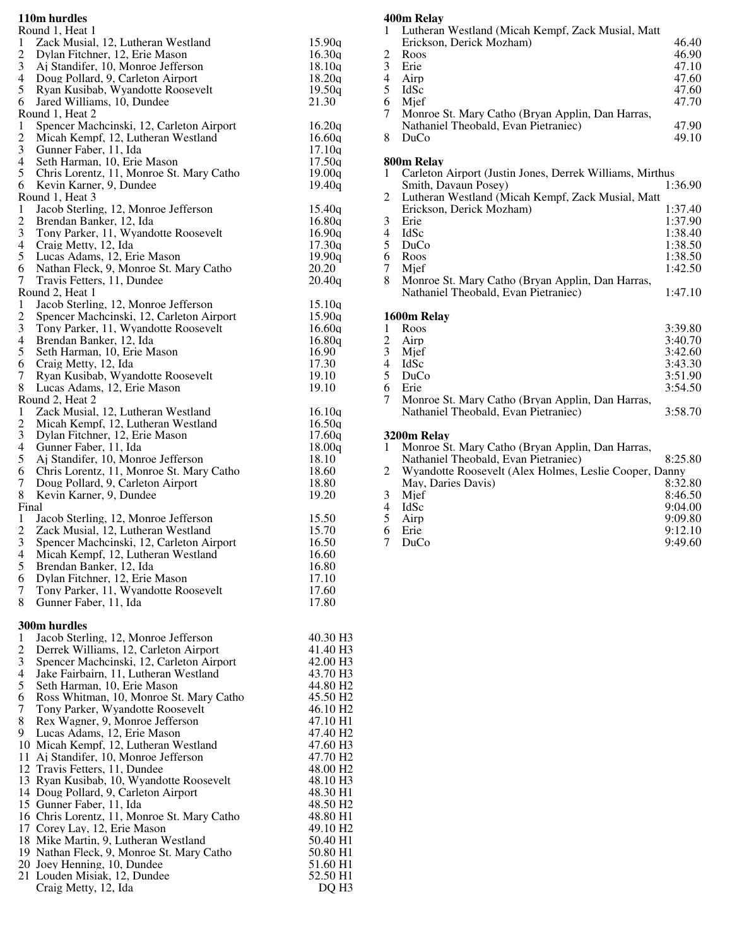### **110m hurdles**

|                          | 110m nurales                             |          |
|--------------------------|------------------------------------------|----------|
|                          | Round 1, Heat 1                          |          |
| 1                        | Zack Musial, 12, Lutheran Westland       | 15.90q   |
| $\overline{2}$           | Dylan Fitchner, 12, Erie Mason           | 16.30q   |
| 3                        | Aj Standifer, 10, Monroe Jefferson       | 18.10q   |
| 4                        | Doug Pollard, 9, Carleton Airport        | 18.20q   |
| 5                        | Ryan Kusibab, Wyandotte Roosevelt        | 19.50q   |
| 6                        | Jared Williams, 10, Dundee               | 21.30    |
|                          | Round 1, Heat 2                          |          |
| 1                        | Spencer Machcinski, 12, Carleton Airport | 16.20q   |
| $\mathbf{2}$             | Micah Kempf, 12, Lutheran Westland       | 16.60q   |
| 3                        | Gunner Faber, 11, Ida                    | 17.10q   |
| 4                        | Seth Harman, 10, Erie Mason              | 17.50q   |
| 5                        | Chris Lorentz, 11, Monroe St. Mary Catho | 19.00q   |
| 6                        | Kevin Karner, 9, Dundee                  | 19.40q   |
|                          | Round 1, Heat 3                          |          |
| 1                        | Jacob Sterling, 12, Monroe Jefferson     | 15.40q   |
| $\overline{\mathbf{c}}$  | Brendan Banker, 12, Ida                  | 16.80q   |
| 3                        | Tony Parker, 11, Wyandotte Roosevelt     | 16.90q   |
| 4                        | Craig Metty, 12, Ida                     | 17.30q   |
| 5                        | Lucas Adams, 12, Erie Mason              | 19.90q   |
| 6                        | Nathan Fleck, 9, Monroe St. Mary Catho   | 20.20    |
| 7                        | Travis Fetters, 11, Dundee               | 20.40q   |
|                          | Round 2, Heat 1                          |          |
| 1                        | Jacob Sterling, 12, Monroe Jefferson     | 15.10a   |
| $\overline{c}$           | Spencer Machcinski, 12, Carleton Airport | 15.90q   |
| 3                        | Tony Parker, 11, Wyandotte Roosevelt     | 16.60q   |
| $\overline{\mathcal{L}}$ | Brendan Banker, 12, Ida                  | 16.80q   |
| 5                        | Seth Harman, 10, Erie Mason              | 16.90    |
| 6                        |                                          | 17.30    |
| 7                        | Craig Metty, 12, Ida                     |          |
|                          | Ryan Kusibab, Wyandotte Roosevelt        | 19.10    |
| 8                        | Lucas Adams, 12, Erie Mason              | 19.10    |
|                          | Round 2, Heat 2                          |          |
| 1                        | Zack Musial, 12, Lutheran Westland       | 16.10q   |
| $\mathbf{2}$             | Micah Kempf, 12, Lutheran Westland       | 16.50q   |
| 3                        | Dylan Fitchner, 12, Erie Mason           | 17.60q   |
| $\overline{\mathcal{A}}$ | Gunner Faber, 11, Ida                    | 18.00q   |
| 5                        | Ai Standifer, 10, Monroe Jefferson       | 18.10    |
| 6                        | Chris Lorentz, 11, Monroe St. Mary Catho | 18.60    |
| 7                        | Doug Pollard, 9, Carleton Airport        | 18.80    |
| 8                        | Kevin Karner, 9, Dundee                  | 19.20    |
| Final                    |                                          |          |
| 1                        | Jacob Sterling, 12, Monroe Jefferson     | 15.50    |
| 2                        | Zack Musial, 12, Lutheran Westland       | 15.70    |
| 3                        | Spencer Machcinski, 12, Carleton Airport | 16.50    |
| 4                        | Micah Kempf, 12, Lutheran Westland       | 16.60    |
| 5                        | Brendan Banker, 12, Ida                  | 16.80    |
| 6                        | Dylan Fitchner, 12, Erie Mason           | 17.10    |
| 7                        | Tony Parker, 11, Wyandotte Roosevelt     | 17.60    |
| 8                        | Gunner Faber, 11, Ida                    | 17.80    |
|                          | 300m hurdles                             |          |
| 1                        | Jacob Sterling, 12, Monroe Jefferson     | 40.30 H3 |
| $\overline{2}$           | Derrek Williams, 12, Carleton Airport    | 41.40 H3 |
| 3                        | Spencer Machcinski, 12, Carleton Airport | 42.00 H3 |

| 4  | Jake Fairbairn, 11, Lutheran Westland       | 43.70 H <sub>3</sub> |
|----|---------------------------------------------|----------------------|
| 5  | Seth Harman, 10. Erie Mason                 | 44.80 H <sub>2</sub> |
| 6  | Ross Whitman, 10, Monroe St. Mary Catho     | 45.50 H <sub>2</sub> |
| 7  | Tony Parker, Wyandotte Roosevelt            | 46.10 H <sub>2</sub> |
| 8  | Rex Wagner, 9, Monroe Jefferson             | 47.10 H1             |
| 9. | Lucas Adams, 12. Erie Mason                 | 47.40 H <sub>2</sub> |
|    | 10 Micah Kempf, 12, Lutheran Westland       | 47.60 H <sub>3</sub> |
|    | 11 Ai Standifer, 10, Monroe Jefferson       | 47.70 H <sub>2</sub> |
|    | 12 Travis Fetters, 11, Dundee               | 48.00 H <sub>2</sub> |
|    | 13 Ryan Kusibab, 10, Wyandotte Roosevelt    | 48.10 H <sub>3</sub> |
|    | 14 Doug Pollard, 9, Carleton Airport        | 48.30 H <sub>1</sub> |
|    | 15 Gunner Faber, 11, Ida                    | 48.50 H <sub>2</sub> |
|    | 16 Chris Lorentz, 11, Monroe St. Mary Catho | 48.80 H <sub>1</sub> |
|    | 17 Corey Lay, 12, Erie Mason                | 49.10 H <sub>2</sub> |
|    | 18 Mike Martin, 9, Lutheran Westland        | 50.40 H <sub>1</sub> |
|    | 19 Nathan Fleck, 9, Monroe St. Mary Catho   | 50.80 H <sub>1</sub> |
|    | 20 Joey Henning, 10, Dundee                 | 51.60 H <sub>1</sub> |

21 Louden Misiak, 12, Dundee 52.50 H1 Craig Metty, 12, Ida

### **400m Relay**

|                          | 'VIII IXLIAV                                             |         |
|--------------------------|----------------------------------------------------------|---------|
| 1                        | Lutheran Westland (Micah Kempf, Zack Musial, Matt        |         |
|                          | Erickson, Derick Mozham)                                 | 46.40   |
| $\frac{2}{3}$            | Roos                                                     | 46.90   |
|                          | Erie                                                     | 47.10   |
| $\overline{\mathcal{L}}$ | Airp                                                     | 47.60   |
| 5                        | IdSc                                                     | 47.60   |
| 6<br>7                   | Mief                                                     | 47.70   |
|                          | Monroe St. Mary Catho (Bryan Applin, Dan Harras,         |         |
|                          | Nathaniel Theobald, Evan Pietraniec)                     | 47.90   |
| 8                        | DuCo                                                     | 49.10   |
|                          | 800m Relav                                               |         |
| 1                        | Carleton Airport (Justin Jones, Derrek Williams, Mirthus |         |
|                          | Smith, Davaun Posey)                                     | 1:36.90 |
| 2                        | Lutheran Westland (Micah Kempf, Zack Musial, Matt        |         |
|                          | Erickson, Derick Mozham)                                 | 1:37.40 |
| 3                        | Erie                                                     | 1:37.90 |
| 4                        | IdSc                                                     | 1:38.40 |
| 5                        | DuCo                                                     | 1:38.50 |
| 6                        | Roos                                                     | 1:38.50 |
| 7                        | Mief                                                     | 1:42.50 |
| 8                        | Monroe St. Mary Catho (Bryan Applin, Dan Harras,         |         |
|                          | Nathaniel Theobald, Evan Pietraniec)                     | 1:47.10 |
|                          | 1600m Relay                                              |         |
| 1                        | Roos                                                     | 3:39.80 |
| $\overline{c}$           | Airp                                                     | 3:40.70 |
| 3                        | Mief                                                     | 3:42.60 |
| $\overline{\mathbf{4}}$  | IdSc                                                     | 3:43.30 |
| 5                        | DuCo                                                     | 3:51.90 |
| 6                        | Erie                                                     | 3:54.50 |
| 7                        | Monroe St. Mary Catho (Bryan Applin, Dan Harras,         |         |
|                          | Nathaniel Theobald, Evan Pietraniec)                     | 3:58.70 |
|                          | 3200m Relay                                              |         |
| 1                        | Monroe St. Mary Catho (Bryan Applin, Dan Harras,         |         |
|                          | Nathaniel Theobald, Evan Pietraniec)                     | 8:25.80 |
| 2                        | Wyandotte Roosevelt (Alex Holmes, Leslie Cooper, Danny   |         |
|                          | May, Daries Davis)                                       | 8:32.80 |
| 3                        | Mief                                                     | 8:46.50 |
|                          |                                                          |         |

| 3 Mief | 8:46.50 |
|--------|---------|
| 4 IdSc | 9:04.00 |
| 5 Airp | 9:09.80 |
| 6 Erie | 9:12.10 |
| 7 DuCo | 9:49.60 |
|        |         |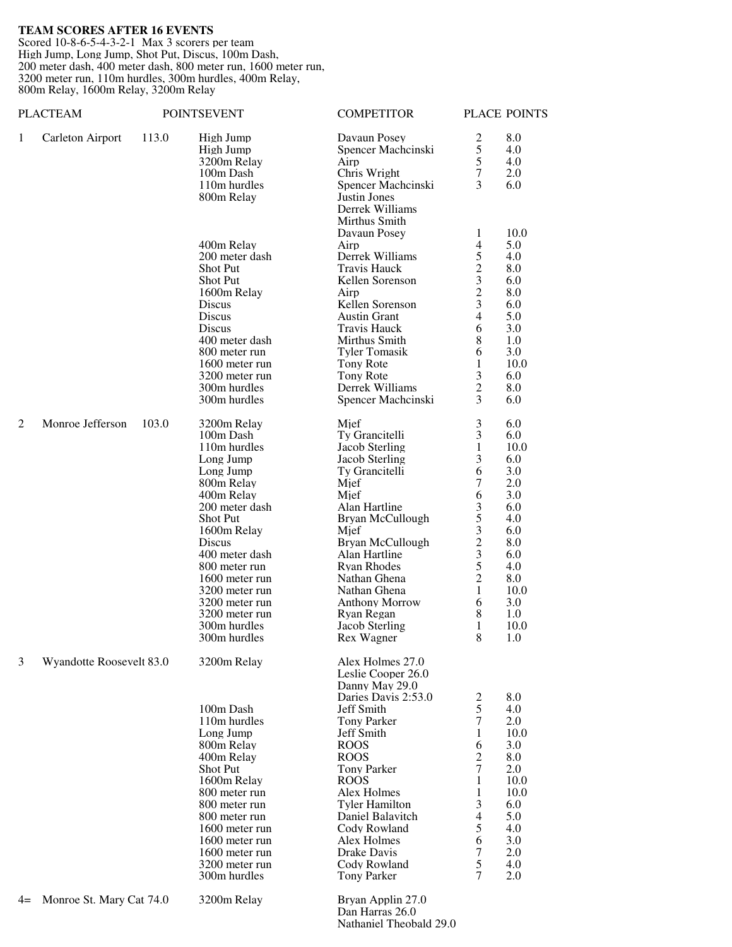## **TEAM SCORES AFTER 16 EVENTS**

Scored 10-8-6-5-4-3-2-1 Max 3 scorers per team High Jump, Long Jump, Shot Put, Discus, 100m Dash, 200 meter dash, 400 meter dash, 800 meter run, 1600 meter run, 3200 meter run, 110m hurdles, 300m hurdles, 400m Relay, 800m Relay, 1600m Relay, 3200m Relay

|                | <b>PLACTEAM</b>          |       | <b>POINTSEVENT</b>                      | <b>COMPETITOR</b>                                                                      |                     | PLACE POINTS      |
|----------------|--------------------------|-------|-----------------------------------------|----------------------------------------------------------------------------------------|---------------------|-------------------|
| 1              | Carleton Airport         | 113.0 | High Jump<br>High Jump<br>3200m Relay   | Davaun Posey<br>Spencer Machcinski<br>Airp                                             | 2<br>5<br>5         | 8.0<br>4.0<br>4.0 |
|                |                          |       | 100m Dash<br>110m hurdles<br>800m Relay | Chris Wright<br>Spencer Machcinski<br>Justin Jones<br>Derrek Williams<br>Mirthus Smith | 7<br>3              | 2.0<br>6.0        |
|                |                          |       |                                         | Davaun Posey                                                                           | 1                   | 10.0              |
|                |                          |       | 400m Relay                              | Airp                                                                                   | 4                   | 5.0               |
|                |                          |       | 200 meter dash<br><b>Shot Put</b>       | Derrek Williams<br><b>Travis Hauck</b>                                                 | 5<br>$\overline{c}$ | 4.0<br>8.0        |
|                |                          |       | <b>Shot Put</b>                         | Kellen Sorenson                                                                        | 3                   | 6.0               |
|                |                          |       | 1600m Relay                             | Airp                                                                                   | $\overline{c}$      | 8.0               |
|                |                          |       | Discus<br>Discus                        | Kellen Sorenson<br><b>Austin Grant</b>                                                 | 3<br>4              | 6.0<br>5.0        |
|                |                          |       | Discus                                  | <b>Travis Hauck</b>                                                                    | 6                   | 3.0               |
|                |                          |       | 400 meter dash                          | Mirthus Smith                                                                          | 8                   | 1.0               |
|                |                          |       | 800 meter run                           | <b>Tyler Tomasik</b>                                                                   | 6                   | 3.0               |
|                |                          |       | 1600 meter run<br>3200 meter run        | Tony Rote<br>Tony Rote                                                                 | 1<br>3              | 10.0<br>6.0       |
|                |                          |       | 300m hurdles                            | Derrek Williams                                                                        | $\overline{2}$      | 8.0               |
|                |                          |       | 300m hurdles                            | Spencer Machcinski                                                                     | 3                   | 6.0               |
| $\overline{2}$ | Monroe Jefferson         | 103.0 | 3200m Relay                             | Mjef                                                                                   | 3                   | 6.0               |
|                |                          |       | 100m Dash                               | Ty Grancitelli                                                                         | 3                   | 6.0               |
|                |                          |       | 110m hurdles<br>Long Jump               | Jacob Sterling<br>Jacob Sterling                                                       | 1<br>3              | 10.0<br>6.0       |
|                |                          |       | Long Jump                               | Ty Grancitelli                                                                         | 6                   | 3.0               |
|                |                          |       | 800m Relay                              | Mjef                                                                                   | 7                   | 2.0               |
|                |                          |       | 400m Relay<br>200 meter dash            | Mief<br>Alan Hartline                                                                  | 6                   | 3.0               |
|                |                          |       | Shot Put                                | Bryan McCullough                                                                       | 3<br>5              | 6.0<br>4.0        |
|                |                          |       | 1600m Relay                             | Mjef                                                                                   | 3                   | 6.0               |
|                |                          |       | Discus                                  | Bryan McCullough                                                                       | $\overline{c}$      | 8.0               |
|                |                          |       | 400 meter dash<br>800 meter run         | Alan Hartline<br><b>Ryan Rhodes</b>                                                    | 3<br>5              | 6.0<br>4.0        |
|                |                          |       | 1600 meter run                          | Nathan Ghena                                                                           | 2                   | 8.0               |
|                |                          |       | 3200 meter run                          | Nathan Ghena                                                                           | 1                   | 10.0              |
|                |                          |       | 3200 meter run                          | <b>Anthony Morrow</b>                                                                  | 6                   | 3.0               |
|                |                          |       | 3200 meter run<br>300m hurdles          | Ryan Regan<br>Jacob Sterling                                                           | 8<br>1              | 1.0<br>10.0       |
|                |                          |       | 300m hurdles                            | Rex Wagner                                                                             | 8                   | 1.0               |
| 3              | Wyandotte Roosevelt 83.0 |       | 3200m Relay                             | Alex Holmes 27.0<br>Leslie Cooper 26.0<br>Danny May 29.0<br>Daries Davis 2:53.0        | 2                   | 8.0               |
|                |                          |       | 100m Dash                               | Jeff Smith                                                                             | 5                   | 4.0               |
|                |                          |       | 110m hurdles                            | <b>Tony Parker</b>                                                                     | 7                   | 2.0               |
|                |                          |       | Long Jump<br>800m Relay                 | Jeff Smith<br><b>ROOS</b>                                                              | 1<br>6              | 10.0<br>3.0       |
|                |                          |       | 400m Relay                              | <b>ROOS</b>                                                                            | 2                   | 8.0               |
|                |                          |       | Shot Put                                | <b>Tony Parker</b>                                                                     | 7                   | 2.0               |
|                |                          |       | 1600m Relay                             | <b>ROOS</b>                                                                            | 1                   | 10.0              |
|                |                          |       | 800 meter run<br>800 meter run          | Alex Holmes<br><b>Tyler Hamilton</b>                                                   | 1<br>3              | 10.0<br>6.0       |
|                |                          |       | 800 meter run                           | Daniel Balavitch                                                                       | 4                   | 5.0               |
|                |                          |       | 1600 meter run                          | Cody Rowland                                                                           | 5                   | 4.0               |
|                |                          |       | 1600 meter run                          | Alex Holmes                                                                            | 6                   | 3.0               |
|                |                          |       | 1600 meter run<br>3200 meter run        | Drake Davis<br>Cody Rowland                                                            | 7<br>5              | 2.0<br>4.0        |
|                |                          |       | 300m hurdles                            | Tony Parker                                                                            | $\overline{7}$      | 2.0               |
| $4=$           | Monroe St. Mary Cat 74.0 |       | 3200m Relay                             | Bryan Applin 27.0<br>Dan Harras 26.0                                                   |                     |                   |

Nathaniel Theobald 29.0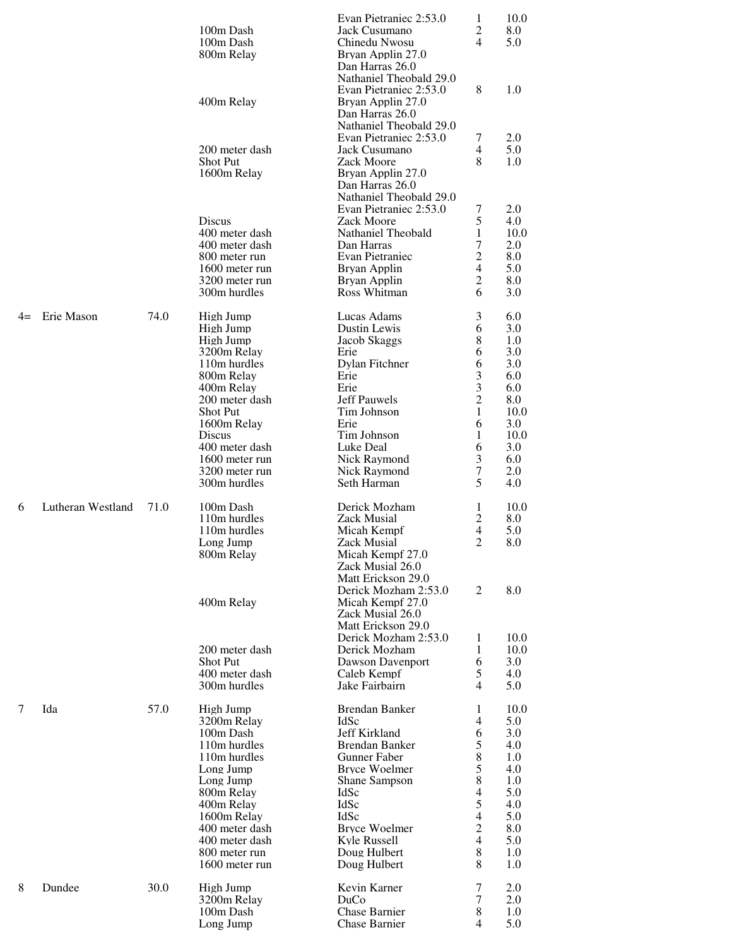|      |                   |      |                                  | Evan Pietraniec 2:53.0                            | 1              | 10.0       |
|------|-------------------|------|----------------------------------|---------------------------------------------------|----------------|------------|
|      |                   |      | 100m Dash                        | Jack Cusumano                                     | 2              | 8.0        |
|      |                   |      | 100m Dash                        | Chinedu Nwosu                                     | 4              | 5.0        |
|      |                   |      | 800m Relay                       | Bryan Applin 27.0<br>Dan Harras 26.0              |                |            |
|      |                   |      |                                  | Nathaniel Theobald 29.0                           |                |            |
|      |                   |      |                                  | Evan Pietraniec 2:53.0                            | 8              | 1.0        |
|      |                   |      | 400m Relay                       | Bryan Applin 27.0                                 |                |            |
|      |                   |      |                                  | Dan Harras 26.0                                   |                |            |
|      |                   |      |                                  | Nathaniel Theobald 29.0                           |                |            |
|      |                   |      |                                  | Evan Pietraniec 2:53.0                            | 7              | 2.0        |
|      |                   |      | 200 meter dash                   | Jack Cusumano                                     | 4              | 5.0        |
|      |                   |      | Shot Put                         | Zack Moore                                        | 8              | 1.0        |
|      |                   |      | 1600m Relay                      | Bryan Applin 27.0                                 |                |            |
|      |                   |      |                                  | Dan Harras 26.0                                   |                |            |
|      |                   |      |                                  | Nathaniel Theobald 29.0<br>Evan Pietraniec 2:53.0 | 7              | 2.0        |
|      |                   |      | Discus                           | Zack Moore                                        | 5              | 4.0        |
|      |                   |      | 400 meter dash                   | Nathaniel Theobald                                | 1              | 10.0       |
|      |                   |      | 400 meter dash                   | Dan Harras                                        | 7              | 2.0        |
|      |                   |      | 800 meter run                    | <b>Evan Pietraniec</b>                            | $\overline{2}$ | 8.0        |
|      |                   |      | 1600 meter run                   | Bryan Applin                                      | 4              | 5.0        |
|      |                   |      | 3200 meter run                   | Bryan Applin                                      | 2              | 8.0        |
|      |                   |      | 300m hurdles                     | Ross Whitman                                      | 6              | 3.0        |
|      | Erie Mason        | 74.0 |                                  | Lucas Adams                                       |                |            |
| $4=$ |                   |      | High Jump<br>High Jump           | Dustin Lewis                                      | 3<br>6         | 6.0<br>3.0 |
|      |                   |      | High Jump                        | Jacob Skaggs                                      | 8              | 1.0        |
|      |                   |      | 3200m Relay                      | Erie                                              | 6              | 3.0        |
|      |                   |      | 110m hurdles                     | Dylan Fitchner                                    | 6              | 3.0        |
|      |                   |      | 800m Relay                       | Erie                                              | 3              | 6.0        |
|      |                   |      | 400m Relay                       | Erie                                              | 3              | 6.0        |
|      |                   |      | 200 meter dash                   | <b>Jeff Pauwels</b>                               | $\overline{c}$ | 8.0        |
|      |                   |      | <b>Shot Put</b>                  | Tim Johnson                                       | 1              | 10.0       |
|      |                   |      | 1600m Relay                      | Erie                                              | 6              | 3.0        |
|      |                   |      | Discus                           | Tim Johnson                                       | 1              | 10.0       |
|      |                   |      | 400 meter dash<br>1600 meter run | Luke Deal<br>Nick Raymond                         | 6              | 3.0<br>6.0 |
|      |                   |      | 3200 meter run                   | Nick Raymond                                      | 3<br>7         | 2.0        |
|      |                   |      | 300m hurdles                     | Seth Harman                                       | 5              | 4.0        |
|      |                   |      |                                  |                                                   |                |            |
| 6    | Lutheran Westland | 71.0 | 100m Dash                        | Derick Mozham                                     | 1              | 10.0       |
|      |                   |      | 110m hurdles                     | <b>Zack Musial</b>                                | $\overline{c}$ | 8.0        |
|      |                   |      | 110m hurdles                     | Micah Kempf                                       | 4              | 5.0        |
|      |                   |      | Long Jump                        | Zack Musial                                       | 2              | 8.0        |
|      |                   |      | 800m Relay                       | Micah Kempf 27.0                                  |                |            |
|      |                   |      |                                  | Zack Musial 26.0<br>Matt Erickson 29.0            |                |            |
|      |                   |      |                                  | Derick Mozham 2:53.0                              | 2              | 8.0        |
|      |                   |      | 400m Relay                       | Micah Kempf 27.0                                  |                |            |
|      |                   |      |                                  | Zack Musial 26.0                                  |                |            |
|      |                   |      |                                  | Matt Erickson 29.0                                |                |            |
|      |                   |      |                                  | Derick Mozham 2:53.0                              | 1              | 10.0       |
|      |                   |      | 200 meter dash                   | Derick Mozham                                     | 1              | 10.0       |
|      |                   |      | <b>Shot Put</b>                  | Dawson Davenport                                  | 6              | 3.0        |
|      |                   |      | 400 meter dash                   | Caleb Kempf                                       | 5              | 4.0        |
|      |                   |      | 300m hurdles                     | Jake Fairbairn                                    | 4              | 5.0        |
| 7    | Ida               | 57.0 | High Jump                        | <b>Brendan Banker</b>                             | 1              | 10.0       |
|      |                   |      | 3200m Relay                      | IdSc                                              | 4              | 5.0        |
|      |                   |      | 100m Dash                        | Jeff Kirkland                                     | 6              | 3.0        |
|      |                   |      | 110m hurdles                     | <b>Brendan Banker</b>                             | 5              | 4.0        |
|      |                   |      | 110m hurdles                     | <b>Gunner Faber</b>                               | 8              | 1.0        |
|      |                   |      | Long Jump                        | <b>Bryce Woelmer</b>                              | 5              | 4.0        |
|      |                   |      | Long Jump                        | Shane Sampson                                     | 8              | 1.0        |
|      |                   |      | 800m Relay                       | <b>IdSc</b>                                       | 4              | 5.0        |
|      |                   |      | 400m Relay                       | IdSc<br><b>IdSc</b>                               | 5<br>4         | 4.0        |
|      |                   |      | 1600m Relay<br>400 meter dash    | <b>Bryce Woelmer</b>                              | 2              | 5.0<br>8.0 |
|      |                   |      | 400 meter dash                   | Kyle Russell                                      | 4              | 5.0        |
|      |                   |      | 800 meter run                    | Doug Hulbert                                      | 8              | 1.0        |
|      |                   |      | 1600 meter run                   | Doug Hulbert                                      | 8              | 1.0        |
|      |                   |      |                                  |                                                   |                |            |
| 8    | Dundee            | 30.0 | High Jump                        | Kevin Karner<br>DuCo                              | 7<br>7         | 2.0<br>2.0 |
|      |                   |      | 3200m Relay<br>100m Dash         | Chase Barnier                                     | 8              | 1.0        |
|      |                   |      | Long Jump                        | Chase Barnier                                     | 4              | 5.0        |
|      |                   |      |                                  |                                                   |                |            |